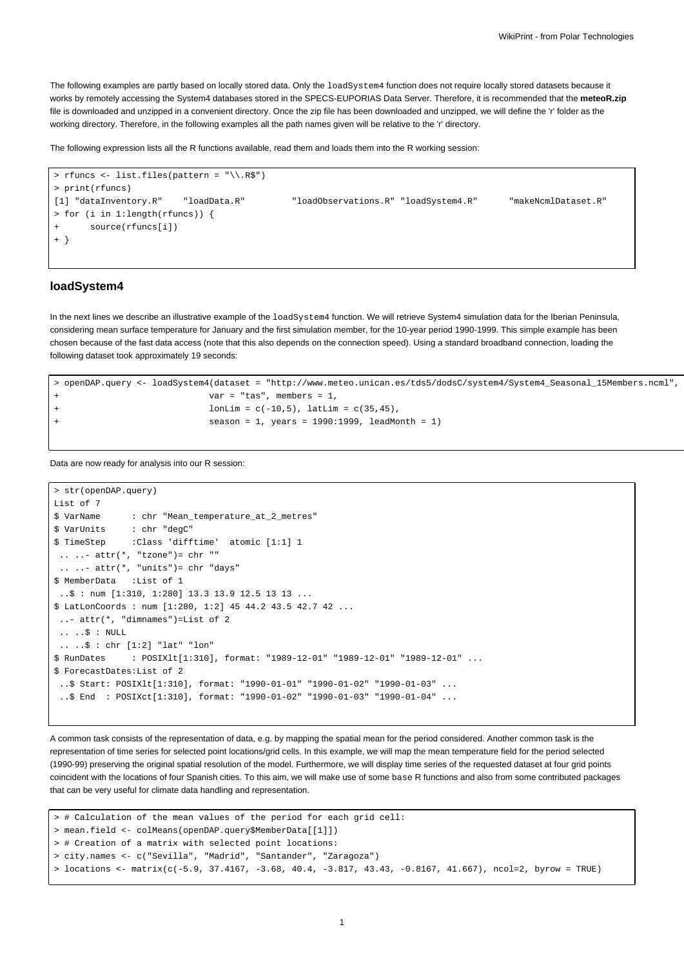The following examples are partly based on locally stored data. Only the loadSystem4 function does not require locally stored datasets because it works by remotely accessing the System4 databases stored in the SPECS-EUPORIAS Data Server. Therefore, it is recommended that the **meteoR.zip** file is downloaded and unzipped in a convenient directory. Once the zip file has been downloaded and unzipped, we will define the 'r' folder as the working directory. Therefore, in the following examples all the path names given will be relative to the 'r' directory.

The following expression lists all the R functions available, read them and loads them into the R working session:

```
> rfuncs <- list.files(pattern = "\\.R$")
> print(rfuncs)
[1] "dataInventory.R" "loadData.R" "loadObservations.R" "loadSystem4.R" "makeNcmlDataset.R"
> for (i in 1:length(rfuncs)) {
      source(rfuncs[i])
+ }
```
### **loadSystem4**

In the next lines we describe an illustrative example of the loadSystem4 function. We will retrieve System4 simulation data for the Iberian Peninsula, considering mean surface temperature for January and the first simulation member, for the 10-year period 1990-1999. This simple example has been chosen because of the fast data access (note that this also depends on the connection speed). Using a standard broadband connection, loading the following dataset took approximately 19 seconds:

```
> openDAP.query <- loadSystem4(dataset = "http://www.meteo.unican.es/tds5/dodsC/system4/System4_Seasonal_15Members.ncml",
                        var = "tas", members = 1,
+ l lonLim = c(-10,5), latLim = c(35,45),
+ season = 1, years = 1990:1999, leadMonth = 1)
```
Data are now ready for analysis into our R session:

```
> str(openDAP.query)
List of 7
$ VarName : chr "Mean_temperature_at_2_metres"
$ VarUnits : chr "degC"
$ TimeStep :Class 'difftime' atomic [1:1] 1
 \ldots \ldots attr(*, "tzone")= chr ""
 \ldots ... attr(*, "units")= chr "days"
$ MemberData :List of 1
 \therefore $ : num [1:310, 1:280] 13.3 13.9 12.5 13 13 ...
$ LatLonCoords : num [1:280, 1:2] 45 44.2 43.5 42.7 42 ...
 ..- attr(*, "dimnames")=List of 2
 \ldots \therefore \Diamond : NULL
 .. ..$ : chr [1:2] "lat" "lon"
$ RunDates : POSIXlt[1:310], format: "1989-12-01" "1989-12-01" "1989-12-01" ...
$ ForecastDates:List of 2
 ..$ Start: POSIXlt[1:310], format: "1990-01-01" "1990-01-02" "1990-01-03" ...
 ..$ End : POSIXct[1:310], format: "1990-01-02" "1990-01-03" "1990-01-04" ...
```
A common task consists of the representation of data, e.g. by mapping the spatial mean for the period considered. Another common task is the representation of time series for selected point locations/grid cells. In this example, we will map the mean temperature field for the period selected (1990-99) preserving the original spatial resolution of the model. Furthermore, we will display time series of the requested dataset at four grid points coincident with the locations of four Spanish cities. To this aim, we will make use of some base R functions and also from some contributed packages that can be very useful for climate data handling and representation.

```
> # Calculation of the mean values of the period for each grid cell:
> mean.field <- colMeans(openDAP.query$MemberData[[1]])
> # Creation of a matrix with selected point locations:
> city.names <- c("Sevilla", "Madrid", "Santander", "Zaragoza")
> locations <- matrix(c(-5.9, 37.4167, -3.68, 40.4, -3.817, 43.43, -0.8167, 41.667), ncol=2, byrow = TRUE)
```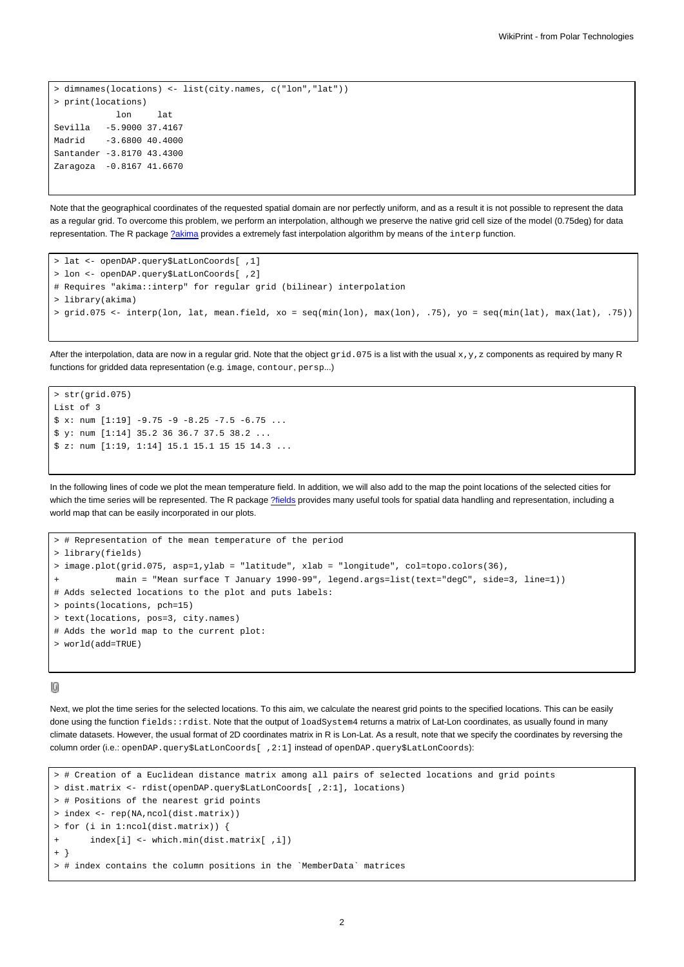```
> dimnames(locations) <- list(city.names, c("lon","lat"))
> print(locations)
           lon lat
Sevilla -5.9000 37.4167
Madrid -3.6800 40.4000
Santander -3.8170 43.4300
Zaragoza -0.8167 41.6670
```
Note that the geographical coordinates of the requested spatial domain are nor perfectly uniform, and as a result it is not possible to represent the data as a regular grid. To overcome this problem, we perform an interpolation, although we preserve the native grid cell size of the model (0.75deg) for data representation. The R package [?akima](http://cran.r-project.org/web/packages/akima/index.html) provides a extremely fast interpolation algorithm by means of the interp function.

```
> lat <- openDAP.query$LatLonCoords[ ,1]
> lon <- openDAP.query$LatLonCoords[ ,2]
# Requires "akima::interp" for regular grid (bilinear) interpolation
> library(akima)
> grid.075 <- interp(lon, lat, mean.field, xo = seq(min(lon), max(lon), .75), yo = seq(min(lat), max(lat), .75))
```
After the interpolation, data are now in a regular grid. Note that the object  $grid.075$  is a list with the usual  $x,y,z$  components as required by many R functions for gridded data representation (e.g. image, contour, persp...)

```
> str(\text{grid}.075)List of 3
$ x: num [1:19] -9.75 -9 -8.25 -7.5 -6.75 ...$ y: num [1:14] 35.2 36 36.7 37.5 38.2 ...
$ z: num [1:19, 1:14] 15.1 15.1 15 15 14.3 ...
```
In the following lines of code we plot the mean temperature field. In addition, we will also add to the map the point locations of the selected cities for which the time series will be represented. The R package [?fields](http://cran.r-project.org/web/packages/fields/index.html) provides many useful tools for spatial data handling and representation, including a world map that can be easily incorporated in our plots.

```
# Representation of the mean temperature of the period
> library(fields)
> image.plot(grid.075, asp=1,ylab = "latitude", xlab = "longitude", col=topo.colors(36),
           main = "Mean surface T January 1990-99", legend.args=list(text="degC", side=3, line=1))
# Adds selected locations to the plot and puts labels:
> points(locations, pch=15)
> text(locations, pos=3, city.names)
# Adds the world map to the current plot:
> world(add=TRUE)
```
### 10

Next, we plot the time series for the selected locations. To this aim, we calculate the nearest grid points to the specified locations. This can be easily done using the function fields::rdist. Note that the output of loadSystem4 returns a matrix of Lat-Lon coordinates, as usually found in many climate datasets. However, the usual format of 2D coordinates matrix in R is Lon-Lat. As a result, note that we specify the coordinates by reversing the column order (i.e.: openDAP.query\$LatLonCoords[ ,2:1] instead of openDAP.query\$LatLonCoords):

```
> # Creation of a Euclidean distance matrix among all pairs of selected locations and grid points
> dist.matrix <- rdist(openDAP.query$LatLonCoords[ ,2:1], locations)
> # Positions of the nearest grid points
> index <- rep(NA,ncol(dist.matrix))
> for (i in 1:ncol(dist.matrix)) {
       index[i] \leftarrow which.min(dist.max[i], i])+ }
> # index contains the column positions in the `MemberData` matrices
```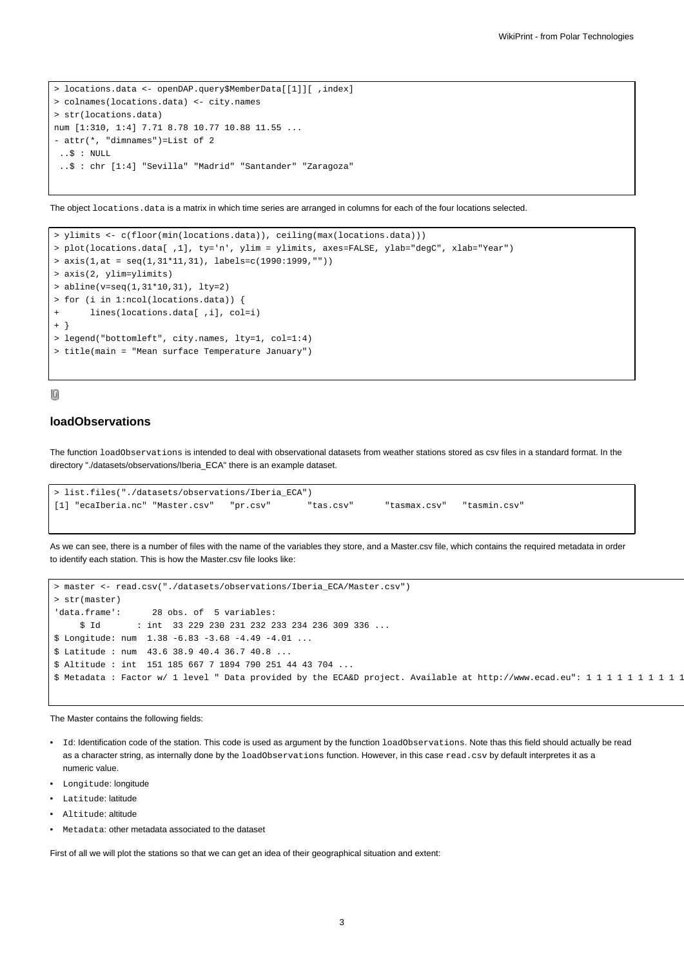```
> locations.data <- openDAP.query$MemberData[[1]][ ,index]
> colnames(locations.data) <- city.names
> str(locations.data)
num [1:310, 1:4] 7.71 8.78 10.77 10.88 11.55 ...
- attr(*, "dimnames")=List of 2
 ..$ : NULL
 ..$ : chr [1:4] "Sevilla" "Madrid" "Santander" "Zaragoza"
```
The object locations.data is a matrix in which time series are arranged in columns for each of the four locations selected.

```
> ylimits <- c(floor(min(locations.data)), ceiling(max(locations.data)))
> plot(locations.data[ ,1], ty='n', ylim = ylimits, axes=FALSE, ylab="degC", xlab="Year")
> axis(1, at = seq(1, 31*11, 31), labels=c(1990:1999, ""))> axis(2, ylim=ylimits)
> abline(v=seq(1,31*10,31), lty=2)
> for (i in 1:ncol(locations.data)) {
+ lines(locations.data[ ,i], col=i)
+ }
> legend("bottomleft", city.names, lty=1, col=1:4)
> title(main = "Mean surface Temperature January")
```
### 10

# **loadObservations**

The function loadObservations is intended to deal with observational datasets from weather stations stored as csv files in a standard format. In the directory "./datasets/observations/Iberia\_ECA" there is an example dataset.

```
> list.files("./datasets/observations/Iberia_ECA")
[1] "ecaIberia.nc" "Master.csv" "pr.csv" "tas.csv" "tasmax.csv" "tasmin.csv"
```
As we can see, there is a number of files with the name of the variables they store, and a Master.csv file, which contains the required metadata in order to identify each station. This is how the Master.csv file looks like:

```
> master <- read.csv("./datasets/observations/Iberia_ECA/Master.csv")
> str(master)
'data.frame': 28 obs. of 5 variables:
     $ Id : int 33 229 230 231 232 233 234 236 309 336 ...
$ Longitude: num 1.38 -6.83 -3.68 -4.49 -4.01 ...
$ Latitude : num 43.6 38.9 40.4 36.7 40.8 ...
$ Altitude : int 151 185 667 7 1894 790 251 44 43 704 ...
$ Metadata : Factor w/ 1 level " Data provided by the ECA&D project. Available at http://www.ecad.eu": 1 1 1 1 1 1 1 1 1 1
```
The Master contains the following fields:

- Id: Identification code of the station. This code is used as argument by the function loadObservations. Note thas this field should actually be read as a character string, as internally done by the loadObservations function. However, in this case read.csv by default interpretes it as a numeric value.
- Longitude: longitude
- Latitude: latitude
- Altitude: altitude
- Metadata: other metadata associated to the dataset

First of all we will plot the stations so that we can get an idea of their geographical situation and extent: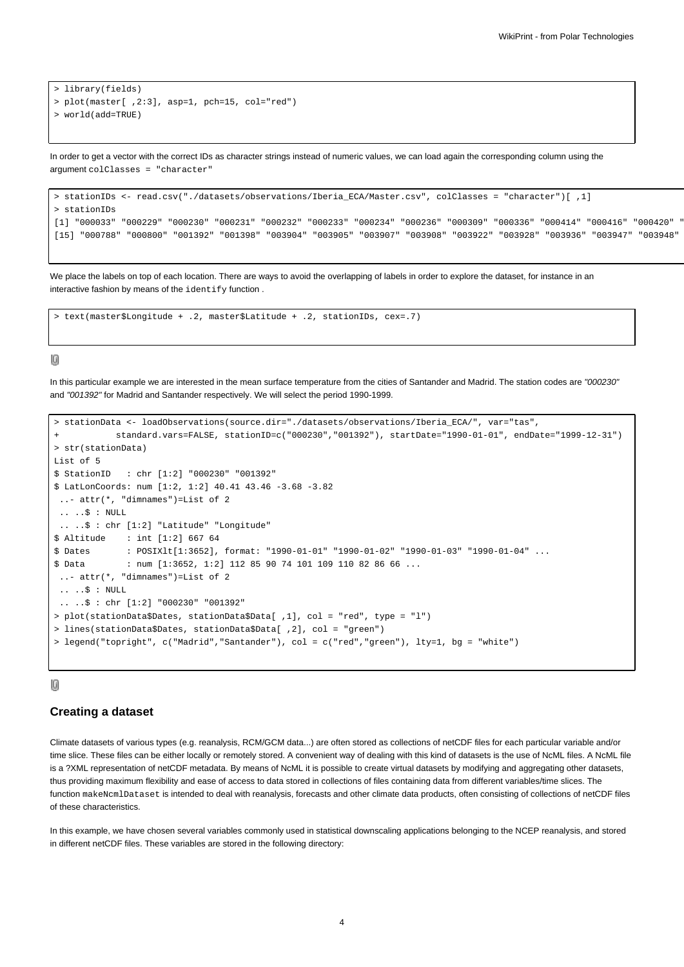```
> library(fields)
> plot(master[ ,2:3], asp=1, pch=15, col="red")
> world(add=TRUE)
```
In order to get a vector with the correct IDs as character strings instead of numeric values, we can load again the corresponding column using the argument colClasses = "character"

```
> stationIDs <- read.csv("./datasets/observations/Iberia_ECA/Master.csv", colClasses = "character")[ ,1]
> stationIDs
[1] "000033" "000229" "000230" "000231" "000232" "000233" "000234" "000236" "000309" "000336" "000414" "000416" "000420" "000421"
[15] "000788" "000800" "001392" "001398" "003904" "003905" "003907" "003908" "003922" "003928" "003936" "003947" "003948" "003949"
```
We place the labels on top of each location. There are ways to avoid the overlapping of labels in order to explore the dataset, for instance in an interactive fashion by means of the identify function .

> text(master\$Longitude + .2, master\$Latitude + .2, stationIDs, cex=.7)

## 10

In this particular example we are interested in the mean surface temperature from the cities of Santander and Madrid. The station codes are "000230" and "001392" for Madrid and Santander respectively. We will select the period 1990-1999.

```
> stationData <- loadObservations(source.dir="./datasets/observations/Iberia_ECA/", var="tas",
           + standard.vars=FALSE, stationID=c("000230","001392"), startDate="1990-01-01", endDate="1999-12-31")
> str(stationData)
List of 5
$ StationID : chr [1:2] "000230" "001392"
$ LatLonCoords: num [1:2, 1:2] 40.41 43.46 -3.68 -3.82
 ..- attr(*, "dimnames")=List of 2
 .. ..$ : NULL
 .. ..$ : chr [1:2] "Latitude" "Longitude"
$ Altitude : int [1:2] 667 64
$ Dates : POSIXlt[1:3652], format: "1990-01-01" "1990-01-02" "1990-01-03" "1990-01-04" ...
$ Data : num [1:3652, 1:2] 112 85 90 74 101 109 110 82 86 66 ...
 ..- attr(*, "dimnames")=List of 2
 .. ..$ : NULL
 .. ..$ : chr [1:2] "000230" "001392"
> plot(stationData$Dates, stationData$Data[ ,1], col = "red", type = "l")
> lines(stationData$Dates, stationData$Data[ ,2], col = "green")
> legend("topright", c("Madrid","Santander"), col = c("red","green"), lty=1, bg = "white")
```
### $[0] % \begin{center} % \includegraphics[width=\linewidth]{imagesSupplemental_3.png} % \end{center} % \caption { % Our method is used for the method. % Note that the \emph{Defleft:} The \emph{Defleft:} the \emph{Defleft:} the \emph{Defleft:} the \emph{Defleft:} the \emph{Defleft:} the \emph{Defleft:} the \emph{Defleft:} the \emph{Defleft:} the \emph{Defleft:} the \emph{Defleft:} the \emph{Defleft:} the \emph{Defleft:} the \emph{Defleft:} the \emph{Defleft:} the \emph{Defleft:} the \emph{Defleft:} the \emph{Defleft:} the \emph{Defleft:} the$

## **Creating a dataset**

Climate datasets of various types (e.g. reanalysis, RCM/GCM data...) are often stored as collections of netCDF files for each particular variable and/or time slice. These files can be either locally or remotely stored. A convenient way of dealing with this kind of datasets is the use of NcML files. A NcML file is a ?XML representation of netCDF metadata. By means of NcML it is possible to create virtual datasets by modifying and aggregating other datasets, thus providing maximum flexibility and ease of access to data stored in collections of files containing data from different variables/time slices. The function makeNcmlDataset is intended to deal with reanalysis, forecasts and other climate data products, often consisting of collections of netCDF files of these characteristics.

In this example, we have chosen several variables commonly used in statistical downscaling applications belonging to the NCEP reanalysis, and stored in different netCDF files. These variables are stored in the following directory: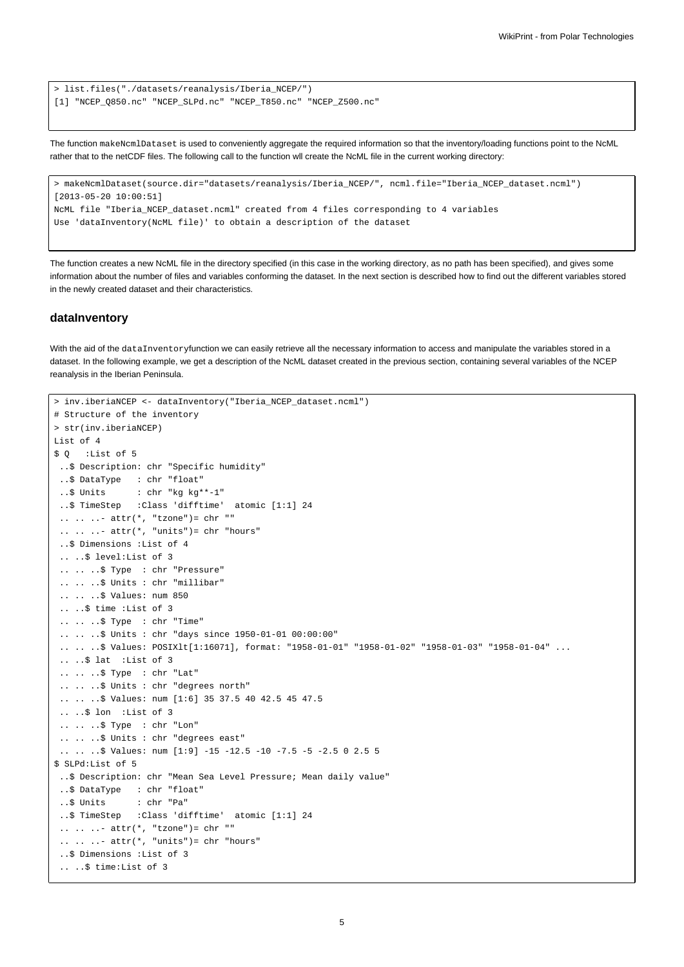```
> list.files("./datasets/reanalysis/Iberia_NCEP/")
[1] "NCEP_Q850.nc" "NCEP_SLPd.nc" "NCEP_T850.nc" "NCEP_Z500.nc"
```
The function makeNcmlDataset is used to conveniently aggregate the required information so that the inventory/loading functions point to the NcML rather that to the netCDF files. The following call to the function wll create the NcML file in the current working directory:

```
> makeNcmlDataset(source.dir="datasets/reanalysis/Iberia_NCEP/", ncml.file="Iberia_NCEP_dataset.ncml")
[2013-05-20 10:00:51]
NcML file "Iberia_NCEP_dataset.ncml" created from 4 files corresponding to 4 variables
Use 'dataInventory(NcML file)' to obtain a description of the dataset
```
The function creates a new NcML file in the directory specified (in this case in the working directory, as no path has been specified), and gives some information about the number of files and variables conforming the dataset. In the next section is described how to find out the different variables stored in the newly created dataset and their characteristics.

### **dataInventory**

With the aid of the dataInventoryfunction we can easily retrieve all the necessary information to access and manipulate the variables stored in a dataset. In the following example, we get a description of the NcML dataset created in the previous section, containing several variables of the NCEP reanalysis in the Iberian Peninsula.

```
> inv.iberiaNCEP <- dataInventory("Iberia_NCEP_dataset.ncml")
# Structure of the inventory
> str(inv.iberiaNCEP)
List of 4
$ Q :List of 5
 ..$ Description: chr "Specific humidity"
 ..$ DataType : chr "float"
 ..$ Units : chr "kg kg**-1"
 ..$ TimeStep :Class 'difftime' atomic [1:1] 24
 .. .. ..- attr(*, "tzone")= chr ""
 \ldots \ldots - attr(*, "units")= chr "hours"
 ..$ Dimensions :List of 4
 .. ..$ level:List of 3
 .. .. ..$ Type : chr "Pressure"
 .. .. ..$ Units : chr "millibar"
 .. .. ..$ Values: num 850
 .. ..$ time :List of 3
 .. .. ..$ Type : chr "Time"
 .. .. ..$ Units : chr "days since 1950-01-01 00:00:00"
 .. .. $ Values: POSIXlt[1:16071], format: "1958-01-01" "1958-01-02" "1958-01-03" "1958-01-04" ...
 .. ..$ lat :List of 3
 .. .. ..$ Type : chr "Lat"
 .. .. ..$ Units : chr "degrees north"
 .. .. ..$ Values: num [1:6] 35 37.5 40 42.5 45 47.5
 .. ..$ lon :List of 3
 .. .. ..$ Type : chr "Lon"
 .. .. ..$ Units : chr "degrees east"
 .. .. ..$ Values: num [1:9] -15 -12.5 -10 -7.5 -5 -2.5 0 2.5 5
$ SLPd:List of 5
..$ Description: chr "Mean Sea Level Pressure; Mean daily value"
 ..$ DataType : chr "float"
 ..$ Units : chr "Pa"
 ..$ TimeStep :Class 'difftime' atomic [1:1] 24
 \ldots \ldots \ldots attr(*, "tzone")= chr ""
 \ldots \ldots - attr(*, "units")= chr "hours"
 ..$ Dimensions :List of 3
 .. ..$ time:List of 3
```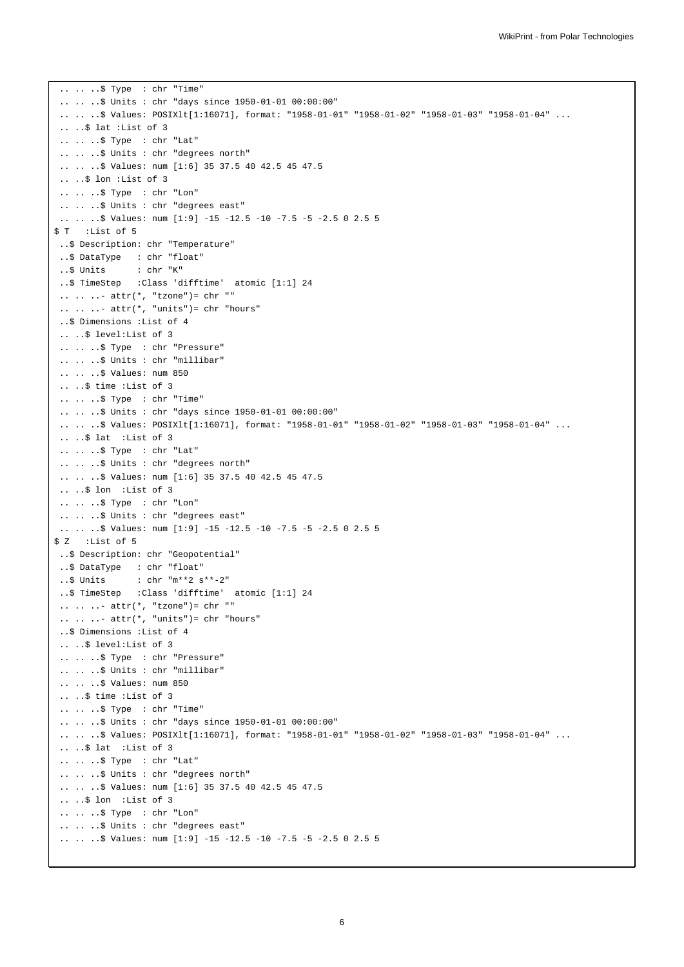```
.. .. ..$ Type : chr "Time"
 .. .. ..$ Units : chr "days since 1950-01-01 00:00:00"
 .. .. ..$ Values: POSIXlt[1:16071], format: "1958-01-01" "1958-01-02" "1958-01-03" "1958-01-04" ...
 .. ..$ lat :List of 3
 .. .. ..$ Type : chr "Lat"
 .. .. ..$ Units : chr "degrees north"
 .. .. ..$ Values: num [1:6] 35 37.5 40 42.5 45 47.5
 .. ..$ lon :List of 3
 .. .. ..$ Type : chr "Lon"
 .. .. ..$ Units : chr "degrees east"
 .. .. ..$ Values: num [1:9] -15 -12.5 -10 -7.5 -5 -2.5 0 2.5 5
$ T :List of 5
 ..$ Description: chr "Temperature"
 ..$ DataType : chr "float"
 ..$ Units : chr "K"
 ..$ TimeStep :Class 'difftime' atomic [1:1] 24
 .. .. ..- attr(*, "tzone")= chr ""
 \ldots \ldots \ldots attr(*, "units")= chr "hours"
 ..$ Dimensions :List of 4
 .. ..$ level:List of 3
 .. .. ..$ Type : chr "Pressure"
 .. .. ..$ Units : chr "millibar"
 .. .. ..$ Values: num 850
 .. ..$ time :List of 3
 .. .. ..$ Type : chr "Time"
 .. .. ..$ Units : chr "days since 1950-01-01 00:00:00"
 .. .. .. $ Values: POSIXlt[1:16071], format: "1958-01-01" "1958-01-02" "1958-01-03" "1958-01-04" ...
 .. ..$ lat :List of 3
 .. .. ..$ Type : chr "Lat"
 .. .. ..$ Units : chr "degrees north"
 .. .. ..$ Values: num [1:6] 35 37.5 40 42.5 45 47.5
 .. ..$ lon :List of 3
 .. .. ..$ Type : chr "Lon"
 .. .. .. $ Units : chr "degrees east"
 .. .. ..$ Values: num [1:9] -15 -12.5 -10 -7.5 -5 -2.5 0 2.5 5
$ Z :List of 5
..$ Description: chr "Geopotential"
..$ DataType : chr "float"
..$ Units : chr "m**2 s**-2"
..$ TimeStep :Class 'difftime' atomic [1:1] 24
 \ldots \ldots - attr(*, "tzone")= chr ""
 \ldots \ldots \ldots attr(*, "units")= chr "hours"
 ..$ Dimensions :List of 4
 .. ..$ level:List of 3
 .. .. ..$ Type : chr "Pressure"
 .. .. ..$ Units : chr "millibar"
 .. .. ..$ Values: num 850
 .. ..$ time :List of 3
 .. .. ..$ Type : chr "Time"
 .. .. ..$ Units : chr "days since 1950-01-01 00:00:00"
 .. .. .. $ Values: POSIXlt[1:16071], format: "1958-01-01" "1958-01-02" "1958-01-03" "1958-01-04" ...
 .. ..$ lat :List of 3
 .. .. ..$ Type : chr "Lat"
 .. .. ..$ Units : chr "degrees north"
 .. .. ..$ Values: num [1:6] 35 37.5 40 42.5 45 47.5
 .. ..$ lon :List of 3
 .. .. ..$ Type : chr "Lon"
 .. .. ..$ Units : chr "degrees east"
 .. .. ..$ Values: num [1:9] -15 -12.5 -10 -7.5 -5 -2.5 0 2.5 5
```